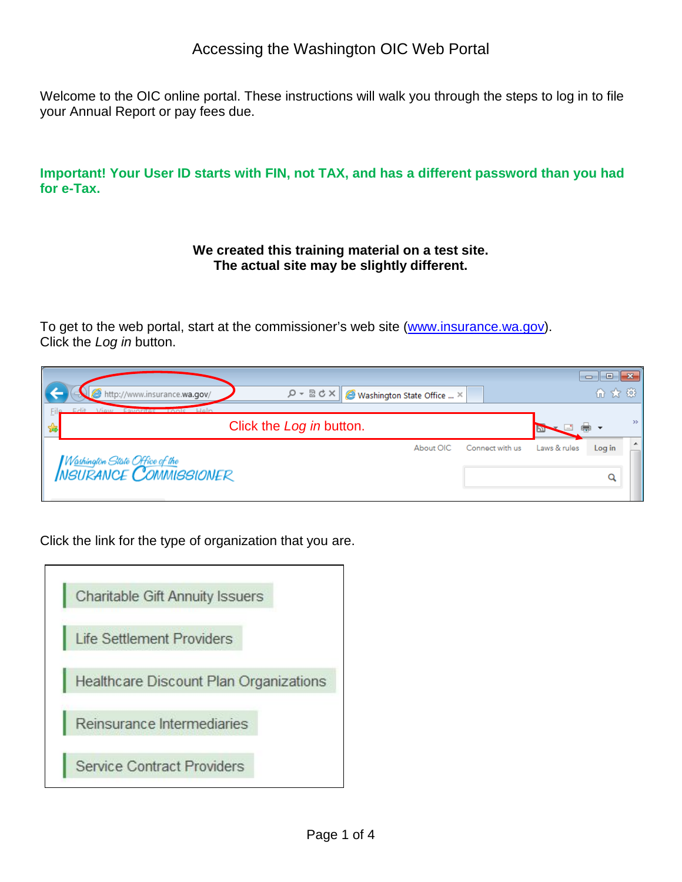Welcome to the OIC online portal. These instructions will walk you through the steps to log in to file your Annual Report or pay fees due.

**Important! Your User ID starts with FIN, not TAX, and has a different password than you had for e-Tax.** 

#### **We created this training material on a test site. The actual site may be slightly different.**

To get to the web portal, start at the commissioner's web site [\(www.insurance.wa.gov\)](http://www.insurance.wa.gov/). Click the *Log in* button.

| $\alpha - \alpha$<br>http://www.insurance.wa.gov/                   | Washington State Office  X |                 |              | 6 女 發  |                  |
|---------------------------------------------------------------------|----------------------------|-----------------|--------------|--------|------------------|
| Equantos Lanis<br>Holm<br><i>Minsse</i><br>Click the Log in button. |                            |                 |              |        | $\rightarrow$    |
|                                                                     | About OIC                  | Connect with us | Laws & rules | Log in | $\blacktriangle$ |
| W <u>oshingt</u> on State Office of the<br>NSURANCE COMMISSIONER    |                            |                 |              |        |                  |

Click the link for the type of organization that you are.

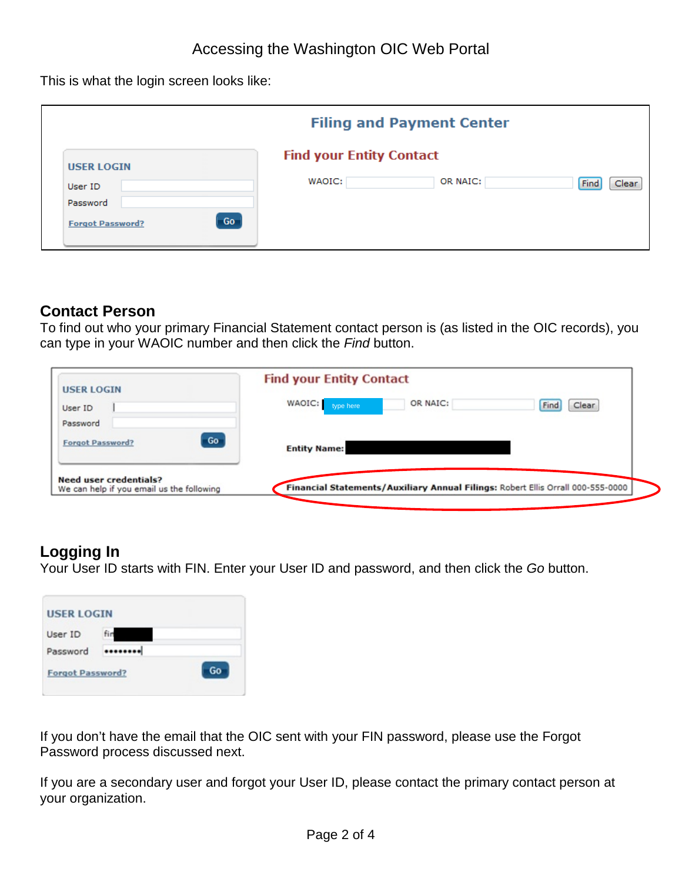This is what the login screen looks like:

|                                                                           |                                           | <b>Filing and Payment Center</b> |               |
|---------------------------------------------------------------------------|-------------------------------------------|----------------------------------|---------------|
| <b>USER LOGIN</b><br>User ID<br>Password<br>Go<br><b>Forgot Password?</b> | <b>Find your Entity Contact</b><br>WAOIC: | OR NAIC:                         | Find<br>Clear |

## **Contact Person**

To find out who your primary Financial Statement contact person is (as listed in the OIC records), you can type in your WAOIC number and then click the *Find* button.

| <b>USER LOGIN</b>                                                          | <b>Find your Entity Contact</b>                                                 |               |
|----------------------------------------------------------------------------|---------------------------------------------------------------------------------|---------------|
| User ID                                                                    | WAOIC:<br>OR NAIC:<br>type here                                                 | Clear<br>Find |
| Password                                                                   |                                                                                 |               |
| <b>Forgot Password?</b>                                                    | Go<br><b>Entity Name:</b>                                                       |               |
|                                                                            |                                                                                 |               |
| <b>Need user credentials?</b><br>We can help if you email us the following | Financial Statements/Auxiliary Annual Filings: Robert Ellis Orrall 000-555-0000 |               |

# **Logging In**

Your User ID starts with FIN. Enter your User ID and password, and then click the *Go* button.

| User ID                 | fin |    |
|-------------------------|-----|----|
| Password                |     |    |
| <b>Forgot Password?</b> |     | Go |

If you don't have the email that the OIC sent with your FIN password, please use the Forgot Password process discussed next.

If you are a secondary user and forgot your User ID, please contact the primary contact person at your organization.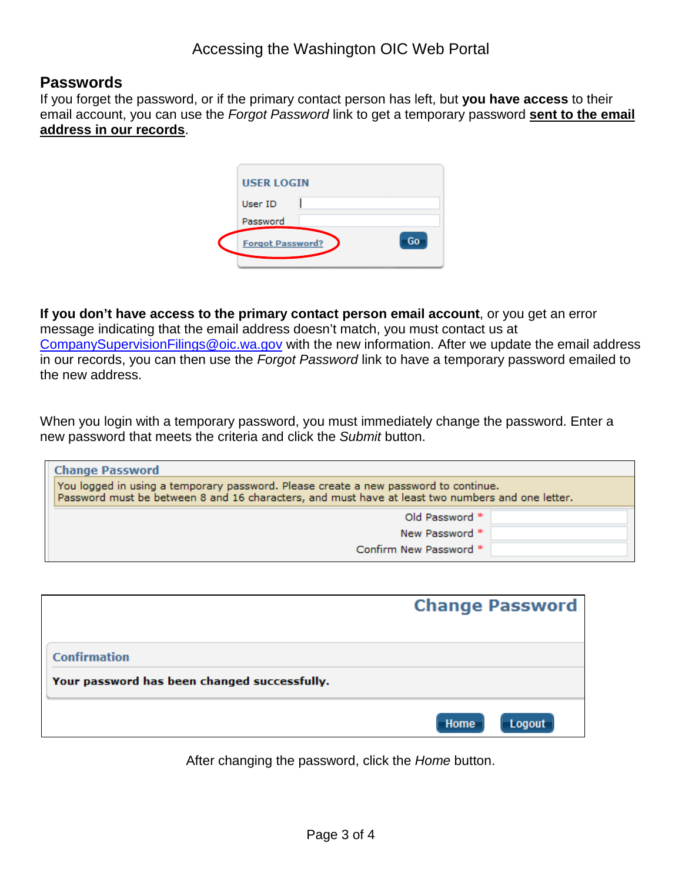### **Passwords**

If you forget the password, or if the primary contact person has left, but **you have access** to their email account, you can use the *Forgot Password* link to get a temporary password **sent to the email address in our records**.

| <b>USER LOGIN</b>       |    |
|-------------------------|----|
| User ID                 |    |
| Password                |    |
| <b>Forgot Password?</b> | Go |
|                         |    |

**If you don't have access to the primary contact person email account**, or you get an error message indicating that the email address doesn't match, you must contact us at [CompanySupervisionFilings@oic.wa.gov](mailto:CompanySupervisionFilings@oic.wa.gov) with the new information. After we update the email address in our records, you can then use the *Forgot Password* link to have a temporary password emailed to the new address.

When you login with a temporary password, you must immediately change the password. Enter a new password that meets the criteria and click the *Submit* button.

| <b>Change Password</b>                                                                                                                                                                  |  |
|-----------------------------------------------------------------------------------------------------------------------------------------------------------------------------------------|--|
| You logged in using a temporary password. Please create a new password to continue.<br>Password must be between 8 and 16 characters, and must have at least two numbers and one letter. |  |
| Old Password *                                                                                                                                                                          |  |
| New Password *                                                                                                                                                                          |  |
| Confirm New Password *                                                                                                                                                                  |  |

|                                              | <b>Change Password</b> |
|----------------------------------------------|------------------------|
| <b>Confirmation</b>                          |                        |
| Your password has been changed successfully. |                        |
|                                              | Home<br>Logout         |

After changing the password, click the *Home* button.